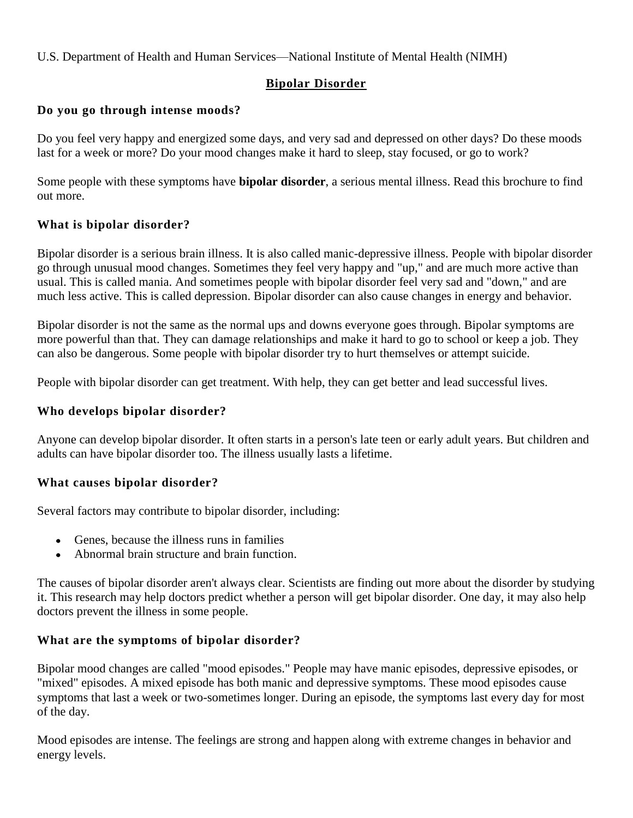## U.S. Department of Health and Human Services—National Institute of Mental Health (NIMH)

# **Bipolar Disorder**

## **Do you go through intense moods?**

Do you feel very happy and energized some days, and very sad and depressed on other days? Do these moods last for a week or more? Do your mood changes make it hard to sleep, stay focused, or go to work?

Some people with these symptoms have **bipolar disorder**, a serious mental illness. Read this brochure to find out more.

## **What is bipolar disorder?**

Bipolar disorder is a serious brain illness. It is also called manic-depressive illness. People with bipolar disorder go through unusual mood changes. Sometimes they feel very happy and "up," and are much more active than usual. This is called mania. And sometimes people with bipolar disorder feel very sad and "down," and are much less active. This is called depression. Bipolar disorder can also cause changes in energy and behavior.

Bipolar disorder is not the same as the normal ups and downs everyone goes through. Bipolar symptoms are more powerful than that. They can damage relationships and make it hard to go to school or keep a job. They can also be dangerous. Some people with bipolar disorder try to hurt themselves or attempt suicide.

People with bipolar disorder can get treatment. With help, they can get better and lead successful lives.

#### **Who develops bipolar disorder?**

Anyone can develop bipolar disorder. It often starts in a person's late teen or early adult years. But children and adults can have bipolar disorder too. The illness usually lasts a lifetime.

#### **What causes bipolar disorder?**

Several factors may contribute to bipolar disorder, including:

- Genes, because the illness runs in families
- Abnormal brain structure and brain function.

The causes of bipolar disorder aren't always clear. Scientists are finding out more about the disorder by studying it. This research may help doctors predict whether a person will get bipolar disorder. One day, it may also help doctors prevent the illness in some people.

#### **What are the symptoms of bipolar disorder?**

Bipolar mood changes are called "mood episodes." People may have manic episodes, depressive episodes, or "mixed" episodes. A mixed episode has both manic and depressive symptoms. These mood episodes cause symptoms that last a week or two-sometimes longer. During an episode, the symptoms last every day for most of the day.

Mood episodes are intense. The feelings are strong and happen along with extreme changes in behavior and energy levels.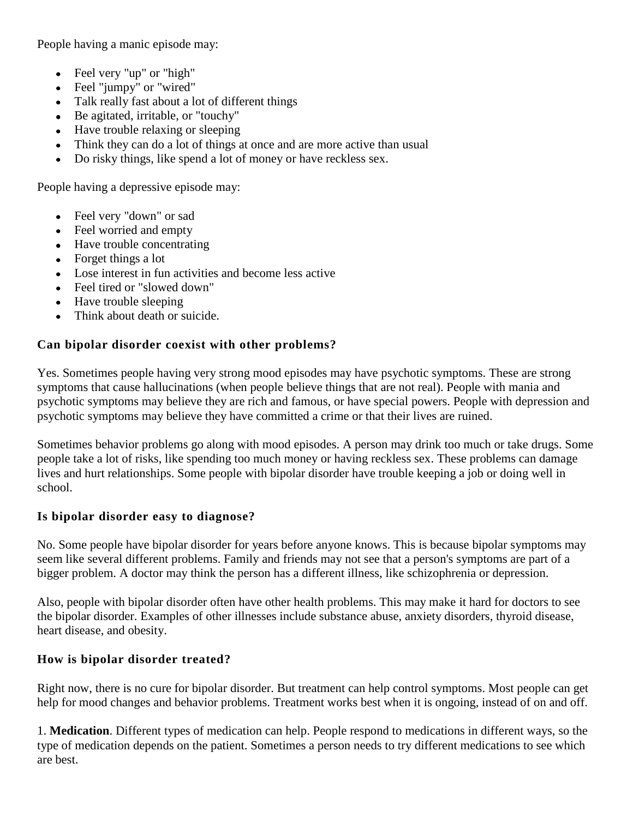People having a manic episode may:

- Feel very "up" or "high"  $\bullet$
- Feel "jumpy" or "wired"
- Talk really fast about a lot of different things
- Be agitated, irritable, or "touchy"
- Have trouble relaxing or sleeping
- Think they can do a lot of things at once and are more active than usual
- Do risky things, like spend a lot of money or have reckless sex.

People having a depressive episode may:

- Feel very "down" or sad
- Feel worried and empty
- Have trouble concentrating
- Forget things a lot
- Lose interest in fun activities and become less active
- Feel tired or "slowed down"
- Have trouble sleeping
- Think about death or suicide.

# **Can bipolar disorder coexist with other problems?**

Yes. Sometimes people having very strong mood episodes may have psychotic symptoms. These are strong symptoms that cause hallucinations (when people believe things that are not real). People with mania and psychotic symptoms may believe they are rich and famous, or have special powers. People with depression and psychotic symptoms may believe they have committed a crime or that their lives are ruined.

Sometimes behavior problems go along with mood episodes. A person may drink too much or take drugs. Some people take a lot of risks, like spending too much money or having reckless sex. These problems can damage lives and hurt relationships. Some people with bipolar disorder have trouble keeping a job or doing well in school.

# **Is bipolar disorder easy to diagnose?**

No. Some people have bipolar disorder for years before anyone knows. This is because bipolar symptoms may seem like several different problems. Family and friends may not see that a person's symptoms are part of a bigger problem. A doctor may think the person has a different illness, like schizophrenia or depression.

Also, people with bipolar disorder often have other health problems. This may make it hard for doctors to see the bipolar disorder. Examples of other illnesses include substance abuse, anxiety disorders, thyroid disease, heart disease, and obesity.

# **How is bipolar disorder treated?**

Right now, there is no cure for bipolar disorder. But treatment can help control symptoms. Most people can get help for mood changes and behavior problems. Treatment works best when it is ongoing, instead of on and off.

1. **Medication**. Different types of medication can help. People respond to medications in different ways, so the type of medication depends on the patient. Sometimes a person needs to try different medications to see which are best.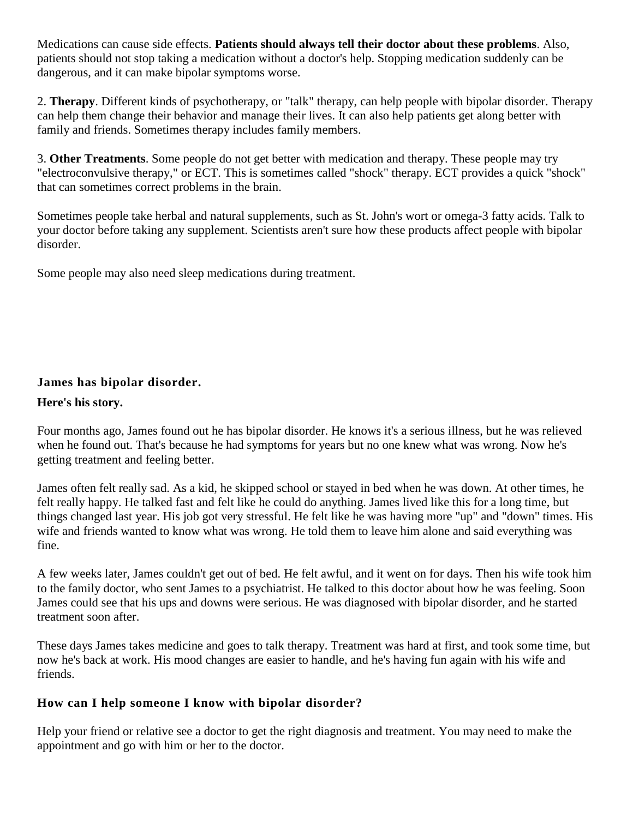Medications can cause side effects. **Patients should always tell their doctor about these problems**. Also, patients should not stop taking a medication without a doctor's help. Stopping medication suddenly can be dangerous, and it can make bipolar symptoms worse.

2. **Therapy**. Different kinds of psychotherapy, or "talk" therapy, can help people with bipolar disorder. Therapy can help them change their behavior and manage their lives. It can also help patients get along better with family and friends. Sometimes therapy includes family members.

3. **Other Treatments**. Some people do not get better with medication and therapy. These people may try "electroconvulsive therapy," or ECT. This is sometimes called "shock" therapy. ECT provides a quick "shock" that can sometimes correct problems in the brain.

Sometimes people take herbal and natural supplements, such as St. John's wort or omega-3 fatty acids. Talk to your doctor before taking any supplement. Scientists aren't sure how these products affect people with bipolar disorder.

Some people may also need sleep medications during treatment.

# **James has bipolar disorder.**

### **Here's his story.**

Four months ago, James found out he has bipolar disorder. He knows it's a serious illness, but he was relieved when he found out. That's because he had symptoms for years but no one knew what was wrong. Now he's getting treatment and feeling better.

James often felt really sad. As a kid, he skipped school or stayed in bed when he was down. At other times, he felt really happy. He talked fast and felt like he could do anything. James lived like this for a long time, but things changed last year. His job got very stressful. He felt like he was having more "up" and "down" times. His wife and friends wanted to know what was wrong. He told them to leave him alone and said everything was fine.

A few weeks later, James couldn't get out of bed. He felt awful, and it went on for days. Then his wife took him to the family doctor, who sent James to a psychiatrist. He talked to this doctor about how he was feeling. Soon James could see that his ups and downs were serious. He was diagnosed with bipolar disorder, and he started treatment soon after.

These days James takes medicine and goes to talk therapy. Treatment was hard at first, and took some time, but now he's back at work. His mood changes are easier to handle, and he's having fun again with his wife and friends.

# **How can I help someone I know with bipolar disorder?**

Help your friend or relative see a doctor to get the right diagnosis and treatment. You may need to make the appointment and go with him or her to the doctor.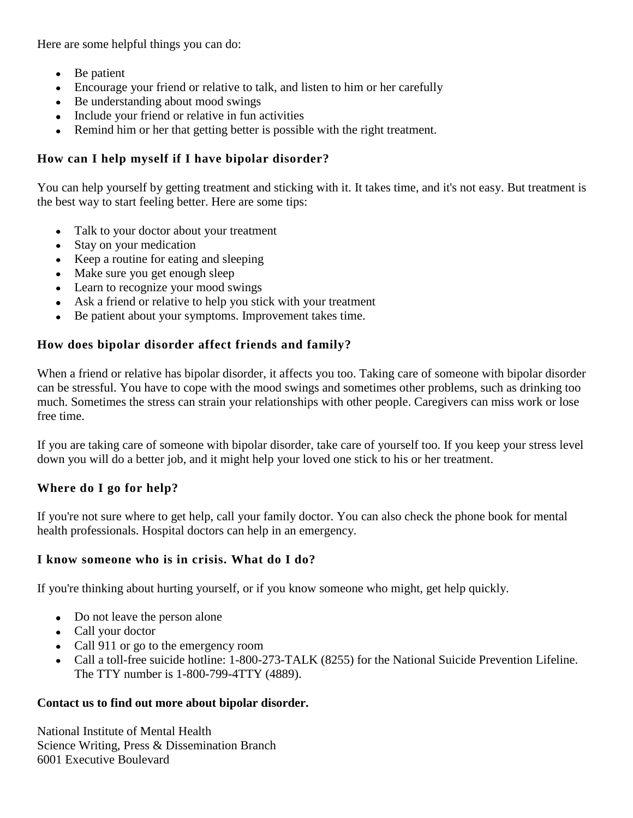Here are some helpful things you can do:

- Be patient
- Encourage your friend or relative to talk, and listen to him or her carefully
- Be understanding about mood swings
- Include your friend or relative in fun activities
- Remind him or her that getting better is possible with the right treatment.

## **How can I help myself if I have bipolar disorder?**

You can help yourself by getting treatment and sticking with it. It takes time, and it's not easy. But treatment is the best way to start feeling better. Here are some tips:

- Talk to your doctor about your treatment
- Stay on your medication
- Keep a routine for eating and sleeping
- Make sure you get enough sleep
- Learn to recognize your mood swings
- Ask a friend or relative to help you stick with your treatment
- Be patient about your symptoms. Improvement takes time.

## **How does bipolar disorder affect friends and family?**

When a friend or relative has bipolar disorder, it affects you too. Taking care of someone with bipolar disorder can be stressful. You have to cope with the mood swings and sometimes other problems, such as drinking too much. Sometimes the stress can strain your relationships with other people. Caregivers can miss work or lose free time.

If you are taking care of someone with bipolar disorder, take care of yourself too. If you keep your stress level down you will do a better job, and it might help your loved one stick to his or her treatment.

#### **Where do I go for help?**

If you're not sure where to get help, call your family doctor. You can also check the phone book for mental health professionals. Hospital doctors can help in an emergency.

#### **I know someone who is in crisis. What do I do?**

If you're thinking about hurting yourself, or if you know someone who might, get help quickly.

- Do not leave the person alone
- Call your doctor
- Call 911 or go to the emergency room
- Call a toll-free suicide hotline: 1-800-273-TALK (8255) for the National Suicide Prevention Lifeline. The TTY number is 1-800-799-4TTY (4889).

#### **Contact us to find out more about bipolar disorder.**

National Institute of Mental Health Science Writing, Press & Dissemination Branch 6001 Executive Boulevard